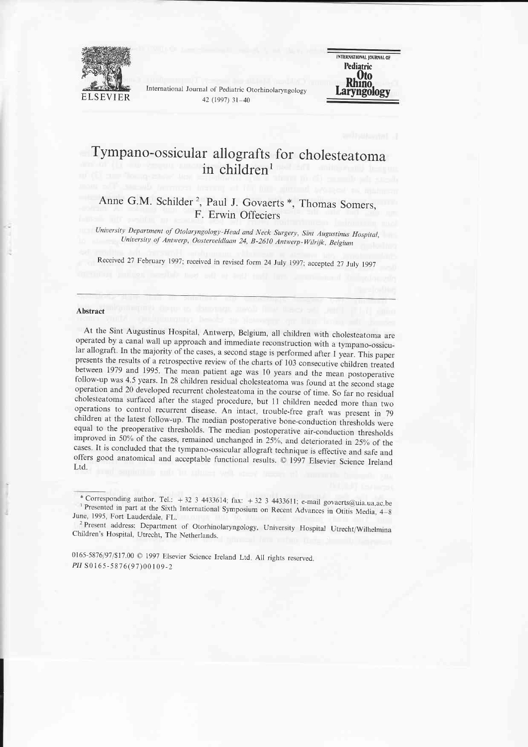

International Journal of Pediatric Otorhinolaryngology 42 (1997)  $31 - 40$ 



# Tympano-ossicular allografts for cholesteatoma in children<sup>1</sup>

# Anne G.M. Schilder<sup>2</sup>, Paul J. Govaerts \*, Thomas Somers, F. Erwin Offeciers

University Department of Otolaryngology-Head and Neck Surgery, Sint Augustinus Hospital,<br>University of Antwerp, Oosterveldlaan 24, B-2610 Antwerp-Wilrijk, Belgium

Received 27 February 1997; received in revised form 24 July 1997; accepted 27 July 1997

#### Abstract

At the Sint Augustinus Hospital, Antwerp, Belgium, all children with cholesteatoma are operated by a canal wall up approach and immediate reconstruction with a tympano-ossicular allograft. In the majority of the cases, a s presents the results of a retrospective review of the charts of 103 consecutive children treated<br>between 1979 and 1995. The mean patient age was 10 years and the mean postoperative<br>follow-up was 4.5 years. In 28 children r operation and 20 developed recurrent cholesteatoma in the course of time. So far no residual cholesteatoma surfaced after the staged procedure, but 11 children needed more than two operations to control recurrent disease.

0165-5876/97/\$17.00 @ 1997 Elsevier Science Ireland Ltd. All rights reserved. PII S0165-5876(97)00109-2

<sup>\*</sup> Corresponding author. Tel.:  $+ 32$  3 4433614; fax:  $+ 32$  3 4433611; e-mail govaerts@uia.ua.ac.be

Presented in part at the Sixth International Symposium on Recent Advances in Otitis Media, 4–8 June, 1995, Fort Lauderdale. FL.

<sup>-2</sup>  Present address: Department of Otorhinolaryngology, university Hospital Utrecht/Wilhelmina Children's Hospital, Utrecht, The Netherlands.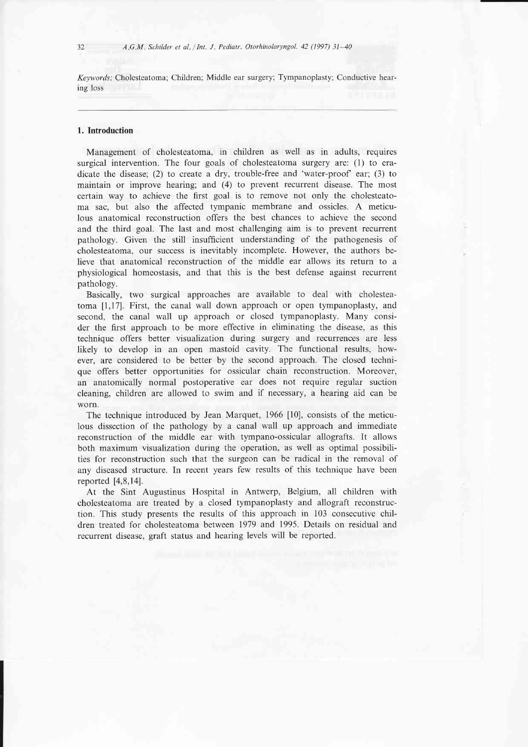Keywords: Cholesteatoma; Children; Middle ear surgery; Tympanoplasty; Conductive hearing loss

# 1. Introduction

Management of cholesteatoma, in children as well as in adults, requires surgical intervention. The four goals of cholesteatoma surgery are: (1) to eradicate the disease; (2) to create a dry, trouble-free and 'water-proof ear; (3) to maintain or improve hearing; and (4) to prevent recurrent disease. The most certain way to achieve the flrst goal is to remove not only the cholesteatoma sac, but also the affected tympanic membrane and ossicles. A meticulous anatomical reconstruction offers the best chances to achieve the second and the third goal. The last and most challenging aim is to prevent recurrent pathology. Given the still insufficient understanding of the pathogenesis of cholesteatoma, our success is inevitably incomplete. However, the authors believe that anatomical reconstruction of the middle ear allows its return to a physiological homeostasis, and that this is the best defense against recurrent pathology.

Basically, two surgical approaches are available to deal with cholesteatoma [1,17]. First, the canal wall down approach or open tympanoplasty, and second, the canal wall up approach or closed tympanoplasty. Many consider the first approach to be more effective in eliminating the disease, as this technique offers better visualization during surgery and recurrences are less likely to develop in an open mastoid cavity. The functional results, however, are considered to be better by the second approach. The closed technique offers better opportunities for ossicular chain reconstruction. Moreover, an anatomically normal postoperative ear does not require regular suction cleaning, children are allowed to swim and if necessary, a hearing aid can be worn.

The technique introduced by Jean Marquet, 1966 [10], consists of the meticulous dissection of the pathology by a canal wall up approach and immediate reconstruction of the middle ear with tympano-ossicular allografts. It allows both maximum visualization during the operation, as well as optimal possibilities for reconstruction such that the surgeon can be radical in the removal of any diseased structure. In recent years few results of this technique have been reported  $[4,8,14]$ .

At the Sint Augustinus Hospital in Antwerp, Belgium, all children with cholesteatoma are treated by a closed tympanoplasty and allograft reconstruction. This study presents the results of this approach in 103 consecutive children treated for cholesteatoma between 1979 and 1995. Details on residual and recurrent disease, graft status and hearing levels will be reported.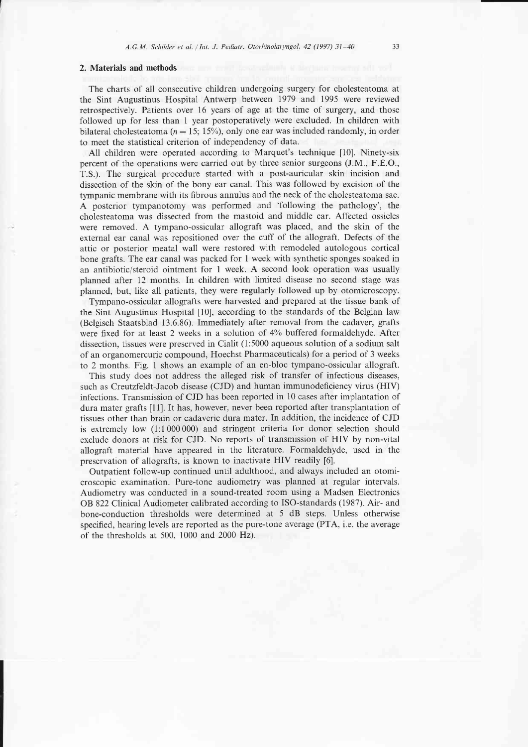# 2. Materials and methods

The charts of all consecutive children undergoing surgery for cholesteatoma at the Sint Augustinus Hospital Antwerp between 1979 and 1995 were reviewed retrospectively. Patients over 16 years of age at the time of surgery, and those followed up for less than I year postoperatively were excluded. In children with bilateral cholesteatoma ( $n = 15$ ; 15%), only one ear was included randomly, in order to meet the statistical criterion of independency of data.

All children were operated according to Marquet's technique [10]. Ninety-six percent of the operations were carried out by three senior surgeons (J.M., F.E.O., T.S.). The surgical procedure started with a post-auricular skin incision and dissection of the skin of the bony ear canal. This was followed by excision of the tympanic membrane with its fibrous annulus and the neck of the cholesteatoma sac. A posterior tympanotomy was performed and 'following the pathology', the cholesteatoma was dissected from the mastoid and middle ear. Affected ossicles were removed. A tympano-ossicular allograft was placed, and the skin of the external ear canal was repositioned over the cuff of the allograft. Defects of the attic or posterior meatal wall were restored with remodeled autologous cortical bone grafts. The ear canal was packed for 1 week with synthetic sponges soaked in an antibiotic/steroid ointment for I week. A second look operation was usually planned after 12 months. In children with limited disease no second stage was planned, but, like all patients, they were regularly followed up by otomicroscopy.

Tympano-ossicular allografts were harvested and prepared at the tissue bank of the Sint Augustinus Hospital [10], according to the standards of the Belgian law (Belgisch Staatsblad 13.6.86). Immediately after removal from the cadaver, grafts were fixed for at least 2 weeks in a solution of 4% buffered formaldehyde. After dissection, tissues were preserved in Cialit (1:5000 aqueous solution of a sodium salt of an organomercuric compound, Hoechst Pharmaceuticals) for a period of 3 weeks to 2 months. Fig. I shows an example of an en-bloc tympano-ossicular allograft.

This study does not address the alleged risk of transfer of infectious diseases, such as Creutzfeldt-Jacob disease (CJD) and human immunodeficiency virus (HIV) infections. Transmission of CJD has been reported in 10 cases after implantation of dura mater grafts [1]. It has, however, never been reported after transplantation of tissues other than brain or cadaveric dura mater. In addition, the incidence of CJD is extremely low (1:1000000) and stringent criteria for donor selection should exclude donors at risk for CJD. No reports of transmission of HIV by non-vital allograft material have appeared in the literature. Formaldehyde, used in the preservation of allografts, is known to inactivate HIV readily [6].

Outpatient follow-up continued until adulthood, and always included an otomicroscopic examination. Pure-tone audiometry was planned at regular intervals. Audiometry was conducted in a sound-treated room using a Madsen Electronics OB 822 Clinical Audiometer calibrated according to ISO-standards (1987). Air- and bone-conduction thresholds were determined at 5 dB steps. Unless otherwise specified, hearing levels are reported as the pure-tone average (PTA, i.e. the average of the thresholds at 500, 1000 and 2000 Hz).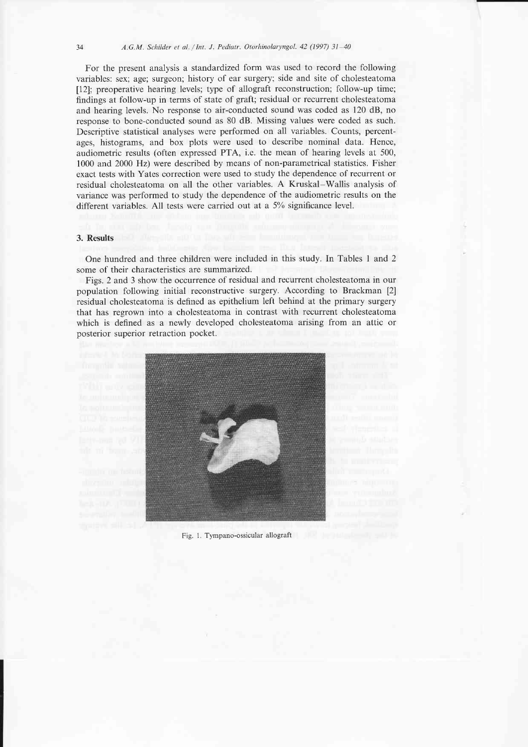For the present analysis a standardized form was used to record the following variables: sex; age; surgeon; history of ear surgery; side and site of cholesteatoma [12]; preoperative hearing levels; type of allograft reconstruction; follow-up time; findings at follow-up in terms of state of graft; residual or recurrent cholesteatoma and hearing levels. No response to air-conducted sound was coded as 120 dB, no response to bone-conducted sound as 80 dB. Missing values were coded as such. Descriptive statistical analyses were performed on all variables. Counts, percentages, histograms, and box plots were used to describe nominal data. Hence, audiometric results (often expressed PTA, i.e. the mean of hearing levels at 500, 1000 and 2000 Hz) were described by means of non-parametrical statistics. Fisher exact tests with Yates correction were used to study the dependence of recurrent or residual cholesteatoma on all the other variables. A Kruskal-Wallis analysis of variance was performed to study the dependence of the audiometric results on the different variables. All tests were carried out at a 5% significance level.

# 3. Results

One hundred and three children were included in this study. In Tables I and 2 some of their characteristics are summarized.

Figs. 2 and 3 show the occurrence of residual and recurrent cholesteatoma in our population following initial reconstructive surgery. According to Brackman [2] residual cholesteatoma is defined as epithelium left behind at the primary surgery that has regrown into a cholesteatoma in contrast with recurrent cholesteatoma which is defined as a newly developed cholesteatoma arising from an attic or posterior superior retraction pocket.



Fig. 1. Tympano-ossicular allograft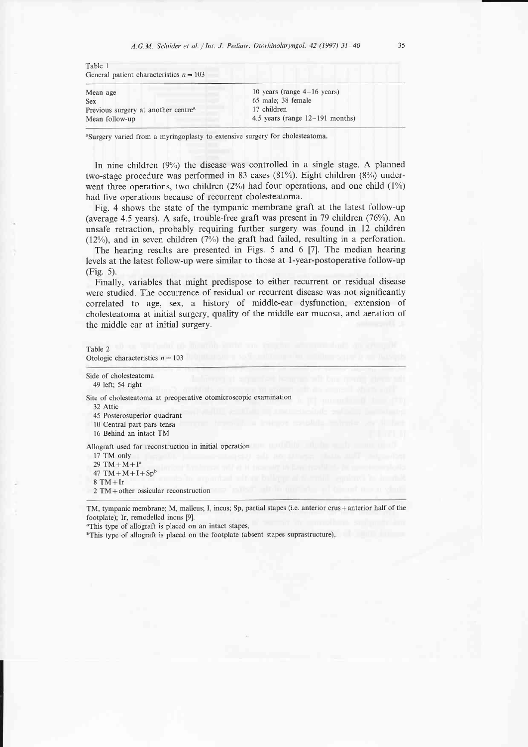| TAUR T<br>General patient characteristics $n = 103$ |                                   |
|-----------------------------------------------------|-----------------------------------|
| Mean age                                            | 10 years (range $4-16$ years)     |
| <b>Sex</b>                                          | 65 male; 38 female                |
| Previous surgery at another centre <sup>a</sup>     | 17 children                       |
| Mean follow-up                                      | 4.5 years (range $12-191$ months) |
|                                                     |                                   |

<sup>a</sup>Surgery varied from a myringoplasty to extensive surgery for cholesteatoma.

In nine children (9%) the disease was controlled in a single stage. A planned two-stage procedure was performed in 83 cases (81%). Eight children (8%) underwent three operations, two children  $(2%)$  had four operations, and one child  $(1%)$ had five operations because of recurrent cholesteatoma.

Fig. 4 shows the state of the tympanic membrane graft at the latest follow-up (average 4.5 years). A safe, trouble-free graft was present in 79 children (76%). An unsafe retraction, probably requiring further surgery was found in 12 children (12%), and in seven children (7%) the graft had failed, resulting in a perforation.

The hearing results are presented in Figs. 5 and 6 [7]. The median hearing levels at the latest follow-up were similar to those at 1-year-postoperative follow-up (Fig. 5).

Finally, variables that might predispose to either recurrent or residual disease were studied. The occurrence of residual or recurrent disease was not significantly correlated to age, sex, a history of middle-ear dysfunction, extension of cholesteatoma at initial surgery, quality of the middle ear mucosa, and aeration of the middle ear at initial surgery.

#### Table 2 Otologic characteristics  $n = 103$

Side of cholesteatoma 49 left; 54 right

Site of cholesteatoma at preoperative otomicroscopic examination

32 Attic

Table I

45 Posterosuperior quadrant

10 Central part pars tensa

16 Behind an intact TM

Allograft used for reconstruction in initial operation

17 TM only 29 TM +  $M + I^a$ 47 TM +  $M + I + Sp<sup>b</sup>$  $8$  TM + Ir  $2 TM + other$  ossicular reconstruction

TM, tympanic membrane; M, malleus; I, incus; Sp, partial stapes (i.e. anterior crus + anterior half of the footplate); Ir, remodelled incus [9].

<sup>a</sup>This type of allograft is placed on an intact stapes.

<sup>b</sup>This type of allograft is placed on the footplate (absent stapes suprastructure).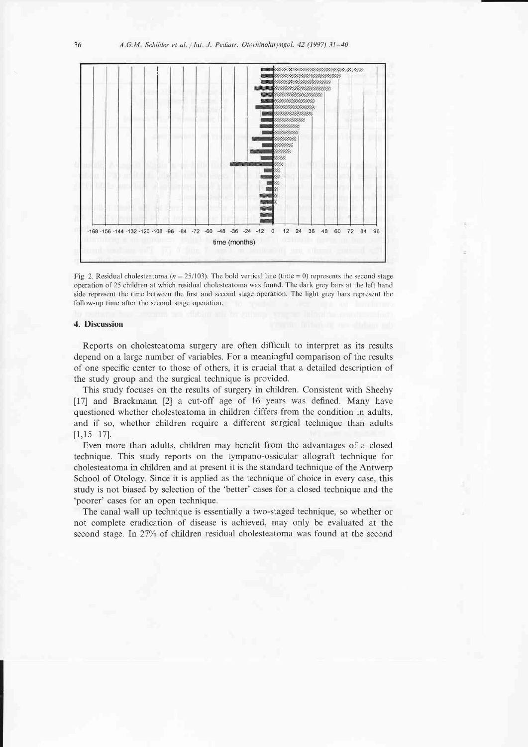

Fig. 2. Residual cholesteatoma ( $n=25/103$ ). The bold vertical line (time = 0) represents the second stage operation of 25 children at which residual cholesteatoma was found. The dark grey bars at the left hand side represent the time between the first and second stage operation. The light grey bars represent the follow-up time after the second stage operation.

#### 4. Discussion

Reports on cholesteatoma surgery are often difficult to interpret as its results depend on a large number of variables. For a meaningful comparison of the results of one specific center to those of others, it is crucial that a detailed description of the study group and the surgical technique is provided.

This study focuses on the results of surgery in children. Consistent with Sheehy [17] and Brackmann [2] a cut-off age of 16 years was defined. Many have questioned whether cholesteatoma in children differs from the condition in adults, and if so, whether children require a different surgical technique than adults  $[1,15-17]$ .

Even more than adults, children may benefit from the advantages of a closed technique. This study reports on the tympano-ossicular allograft technique for cholesteatoma in children and at present it is the standard technique of the Antwerp School of Otology. Since it is applied as the technique of choice in every case, this study is not biased by selection of the 'better' cases for a closed technique and the 'poorer' cases for an open technique.

The canal wall up technique is essentially a two-staged technique, so whether or not complete eradication of disease is achieved, may only be evaluated at the second stage. In 27% of children residual cholesteatoma was found at the second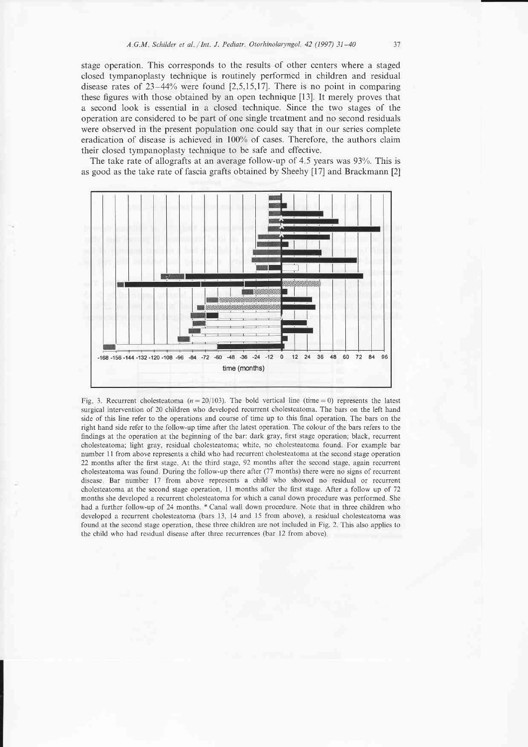stage operation. This corresponds to the results of other centers where a staged closed tympanoplasty technique is routinely performed in children and residual disease rates of 23-44% were found 12,5,15,171. There is no point in comparing these figures with those obtained by an open technique [13]. It merely proves that a second look is essential in a closed technique. Since the two stages of the operation are considered to be part of one single treatment and no second residuals were observed in the present population one could say that in our series complete eradication of disease is achieved in 100% of cases. Therefore, the authors claim their closed tympanoplasty technique to be safe and effective.

The take rate of allografts at an average follow-up of  $4.5$  years was  $93\%$ . This is as good as the take rate of fascia grafts obtained by Sheehy [17] and Brackmann [2]



Fig. 3. Recurrent cholesteatoma ( $n=20/103$ ). The bold vertical line (time = 0) represents the latest surgical intervention of 20 children who developed recurrent cholesteatoma. The bars on the left hand side of this line refer to the operations and course of time up to this final operation The bars on the right hand side refer to the follow-up time after the latest operation The colour of the bars refers to the findings at the operation at the beginning of the bar: dark gray, first stage operation; black, recurrent cholesteatoma, light gray, residual cholesteatoma; white, no cholesteatoma found. For example bar number 1 1 from above represents a child who had recurrent cholesteatoma at the second stage operation 22 months after the first stage At the third stage, 92 months after the second stage, again recurrent cholesteatoma was found. During the follow-up there after (77 months) there were no signs of recurrent disease. Bar number 17 from above represents a child who showed no residual or recurrent cholesteatoma at the second stage operation, 11 months after the first stage. After a follow up of 72 months she developed a recurrent cholesteatoma for which a canal down procedure was performed. She had a further follow-up of 24 months. \* Canal wall down procedure. Note that in three children who developed a recurrent cholesteatoma (bars 13, 14 and 15 from above), a residual cholesteatoma was found at the second stage operation, these three chiidren are not included in Fig. 2. This also applies to the child who had residual disease after three tecurrences (bar 12 from above)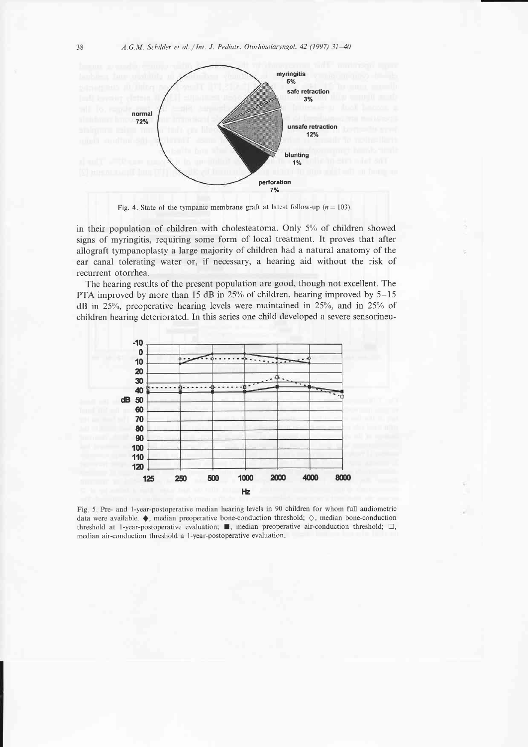

Fig. 4. State of the tympanic membrane graft at latest follow-up ( $n=103$ ).

in their population of children with cholesteatoma. Only  $5\%$  of children showed signs of myringitis, requiring some form of local treatment. It proves that after allograft tympanoplasty a large majority of children had a natural anatomy of the ear canal tolerating water or, if necessary, a hearing aid without the risk of recurrent otorrhea.

The hearing results of the present population are good, though not excellent. The PTA improved by more than 15 dB in  $25\%$  of children, hearing improved by  $5-15$ dB in 25%, preoperative hearing levels were maintained in 25%, and in 25% of children hearing deteriorated. In this series one child developed a severe sensorineu-



Fig 5 Pre- and l-year-postoperative median hearing levels in 90 children for whom full audiometric data were available.  $\blacklozenge$ , median preoperative bone-conduction threshold;  $\diamondsuit$ , median bone-conduction threshold at 1-year-postoperative evaluation;  $\blacksquare$ , median preoperative air-conduction threshold;  $\square$ , median air-conduction threshold a 1 -year-postoperative evaluation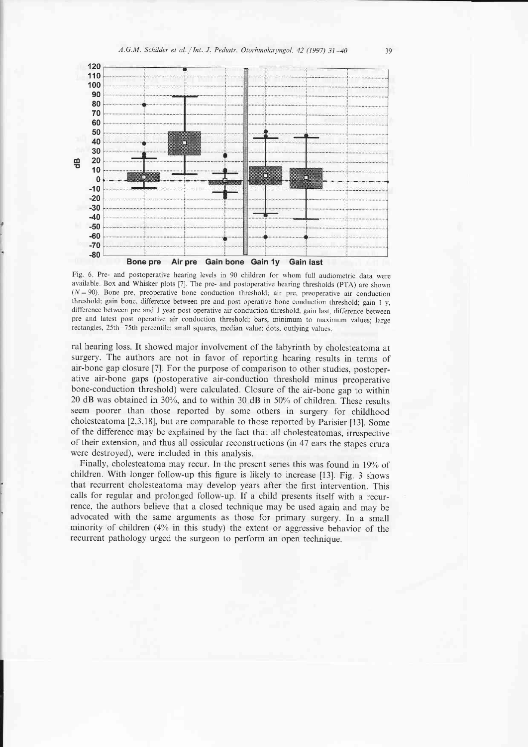

Fig 6 Pre- and postoperative hearing levels in 90 children for whom fuli audiometric data were available Box and Whisker plots [7] The pre- and postoperative hearing thresholds (PTA) are shown  $(N=90)$ . Bone pre, preoperative bone conduction threshold; air pre, preoperative air conduction threshold; gain bone, difference between pre and post operative bone conduction threshold; gain 1 y, difference between pre and 1 year post operative air conduction threshold; gain 1ast, difference between pre and latest post operative air conduction threshold; bars, minimum to maximum values; large rectangles, 25th–75th percentile; small squares, median value; dots, outlying values

ral hearing loss. It showed major involvement of the labyrinth by cholesteatoma at surgery. The authors are not in favor of reporting hearing results in terms of air-bone gap closure [7]. For the purpose of comparison to other studies, postoperative air-bone gaps (postoperative air-conduction threshold minus preoperative bone-conduction threshold) were calculated. Closure of the air-bone gap to within 20 dB was obtained in 30%, and to within 30 dB in 50% of children. These results seem poorer than those reported by some others in surgery for childhood cholesteatoma [2,3,18], but are comparable to those reported by Parisier [13]. Some of the difference may be explained by the fact that all cholesteatomas, irrespective of their extension, and thus all ossicular reconstructions (in 47 ears the stapes crura were destroyed), were included in this analysis.

Finally, cholesteatoma may recur. In the present series this was found in 19% of children. With longer follow-up this figure is likely to increase  $[13]$ . Fig. 3 shows that recurrent cholesteatoma may develop years after the first intervention. This calls for regular and prolonged follow-up. If a child presents itself with a recurrence, the authors believe that a closed technique may be used again and may be advocated with the same arguments as those for primary surgery. In a small minority of children (4% in this study) the extent or aggressive behavior of the recurrent pathology urged the surgeon to perform an open technique.